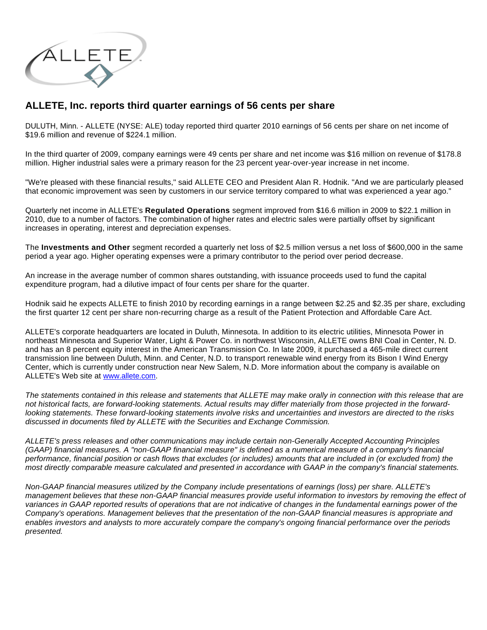

## **ALLETE, Inc. reports third quarter earnings of 56 cents per share**

DULUTH, Minn. - ALLETE (NYSE: ALE) today reported third quarter 2010 earnings of 56 cents per share on net income of \$19.6 million and revenue of \$224.1 million.

In the third quarter of 2009, company earnings were 49 cents per share and net income was \$16 million on revenue of \$178.8 million. Higher industrial sales were a primary reason for the 23 percent year-over-year increase in net income.

"We're pleased with these financial results," said ALLETE CEO and President Alan R. Hodnik. "And we are particularly pleased that economic improvement was seen by customers in our service territory compared to what was experienced a year ago."

Quarterly net income in ALLETE's **Regulated Operations** segment improved from \$16.6 million in 2009 to \$22.1 million in 2010, due to a number of factors. The combination of higher rates and electric sales were partially offset by significant increases in operating, interest and depreciation expenses.

The **Investments and Other** segment recorded a quarterly net loss of \$2.5 million versus a net loss of \$600,000 in the same period a year ago. Higher operating expenses were a primary contributor to the period over period decrease.

An increase in the average number of common shares outstanding, with issuance proceeds used to fund the capital expenditure program, had a dilutive impact of four cents per share for the quarter.

Hodnik said he expects ALLETE to finish 2010 by recording earnings in a range between \$2.25 and \$2.35 per share, excluding the first quarter 12 cent per share non-recurring charge as a result of the Patient Protection and Affordable Care Act.

ALLETE's corporate headquarters are located in Duluth, Minnesota. In addition to its electric utilities, Minnesota Power in northeast Minnesota and Superior Water, Light & Power Co. in northwest Wisconsin, ALLETE owns BNI Coal in Center, N. D. and has an 8 percent equity interest in the American Transmission Co. In late 2009, it purchased a 465-mile direct current transmission line between Duluth, Minn. and Center, N.D. to transport renewable wind energy from its Bison I Wind Energy Center, which is currently under construction near New Salem, N.D. More information about the company is available on ALLETE's Web site at [www.allete.com.](http://www.allete.com/)

The statements contained in this release and statements that ALLETE may make orally in connection with this release that are not historical facts, are forward-looking statements. Actual results may differ materially from those projected in the forwardlooking statements. These forward-looking statements involve risks and uncertainties and investors are directed to the risks discussed in documents filed by ALLETE with the Securities and Exchange Commission.

ALLETE's press releases and other communications may include certain non-Generally Accepted Accounting Principles (GAAP) financial measures. A "non-GAAP financial measure" is defined as a numerical measure of a company's financial performance, financial position or cash flows that excludes (or includes) amounts that are included in (or excluded from) the most directly comparable measure calculated and presented in accordance with GAAP in the company's financial statements.

Non-GAAP financial measures utilized by the Company include presentations of earnings (loss) per share. ALLETE's management believes that these non-GAAP financial measures provide useful information to investors by removing the effect of variances in GAAP reported results of operations that are not indicative of changes in the fundamental earnings power of the Company's operations. Management believes that the presentation of the non-GAAP financial measures is appropriate and enables investors and analysts to more accurately compare the company's ongoing financial performance over the periods presented.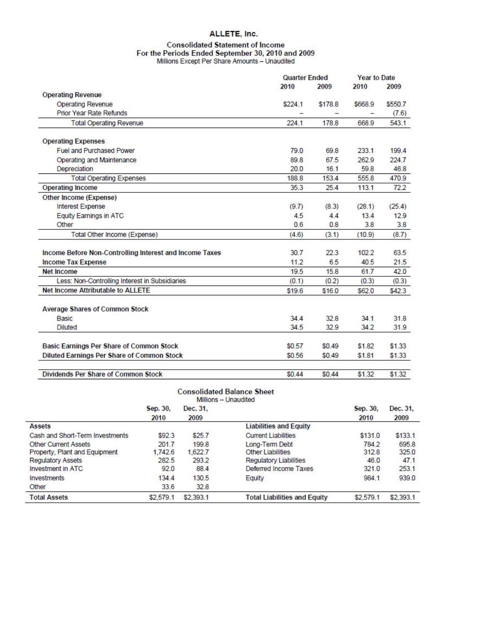## ALLETE, Inc.

## Consolidated Statement of Income<br>For the Periods Ended September 30, 2010 and 2009<br>Millions Except Per Share Amounts - Unaudited

|                                                         |                                                                           |                      | <b>Quarter Ended</b>                |         | <b>Year to Date</b> |           |
|---------------------------------------------------------|---------------------------------------------------------------------------|----------------------|-------------------------------------|---------|---------------------|-----------|
|                                                         |                                                                           |                      | 2010                                | 2009    | 2010                | 2009      |
| <b>Operating Revenue</b>                                |                                                                           |                      |                                     |         |                     |           |
| <b>Operating Revenue</b>                                |                                                                           |                      | \$224.1                             | \$178.8 | \$668.9             | \$550.7   |
| <b>Prior Year Rate Refunds</b>                          |                                                                           |                      |                                     |         |                     | (7.6)     |
| <b>Total Operating Revenue</b>                          |                                                                           |                      | 224.1                               | 178.8   | 668.9               | 543.1     |
| <b>Operating Expenses</b>                               |                                                                           |                      |                                     |         |                     |           |
| <b>Fuel and Purchased Power</b>                         |                                                                           |                      | 79.0                                | 69.8    | 233.1               | 199.4     |
| Operating and Maintenance                               |                                                                           |                      | 89.8                                | 67.5    | 262.9               | 224.7     |
| Depreciation                                            |                                                                           |                      | 20.0                                | 16.1    | 59.8                | 46.8      |
| <b>Total Operating Expenses</b>                         |                                                                           |                      | 188.8                               | 153.4   | 555.8               | 470.9     |
| <b>Operating Income</b>                                 |                                                                           |                      | 35.3                                | 25.4    | 113.1               | 72.2      |
| Other Income (Expense)                                  |                                                                           |                      |                                     |         |                     |           |
| Interest Expense                                        |                                                                           |                      | (9.7)                               | (8.3)   | (28.1)              | (25.4)    |
| <b>Equity Earnings in ATC</b>                           |                                                                           |                      | 4.5                                 | 4.4     | 13.4                | 12.9      |
| Other                                                   |                                                                           |                      | 0.6                                 | 0.8     | 3.8                 | 3.8       |
| Total Other Income (Expense)                            |                                                                           |                      | (4.6)                               | (3.1)   | (10.9)              | (8.7)     |
| Income Before Non-Controlling Interest and Income Taxes |                                                                           |                      | 30.7                                | 22.3    | 102.2               | 63.5      |
| <b>Income Tax Expense</b>                               |                                                                           |                      | 11.2                                | 6.5     | 40.5                | 21.5      |
| <b>Net Income</b>                                       |                                                                           |                      | 19.5                                | 15.8    | 61.7                | 42.0      |
|                                                         |                                                                           |                      |                                     |         |                     | (0.3)     |
| <b>Net Income Attributable to ALLETE</b>                | Less: Non-Controlling Interest in Subsidiaries<br>(0.1)<br>(0.2)<br>(0.3) |                      |                                     |         | \$62.0              |           |
|                                                         |                                                                           |                      | \$19.6                              | \$16.0  |                     | \$42.3    |
| <b>Average Shares of Common Stock</b>                   |                                                                           |                      |                                     |         |                     |           |
| Basic                                                   |                                                                           |                      | 34.4                                | 32.8    | 34.1                | 31.8      |
| Diluted                                                 |                                                                           |                      | 34.5                                | 32.9    | 34.2                | 31.9      |
| <b>Basic Earnings Per Share of Common Stock</b>         |                                                                           |                      | \$0.57                              | \$0.49  | \$1.82              | \$1.33    |
| Diluted Earnings Per Share of Common Stock              |                                                                           |                      | \$0.56                              | \$0.49  | \$1.81              | \$1.33    |
|                                                         |                                                                           |                      |                                     |         |                     |           |
| <b>Dividends Per Share of Common Stock</b>              |                                                                           |                      | \$0.44                              | \$0.44  | \$1.32              | \$1.32    |
|                                                         |                                                                           | Millions - Unaudited | <b>Consolidated Balance Sheet</b>   |         |                     |           |
|                                                         | Sep. 30,                                                                  | Dec. 31,             |                                     |         | Sep. 30,            | Dec. 31.  |
|                                                         | 2010                                                                      | 2009                 |                                     |         | 2010                | 2009      |
| Assets                                                  |                                                                           |                      | <b>Liabilities and Equity</b>       |         |                     |           |
| Cash and Short-Term Investments                         | \$92.3                                                                    | \$25.7               | <b>Current Liabilities</b>          |         | \$131.0             | \$133.1   |
| <b>Other Current Assets</b>                             | 201.7                                                                     | 199.8                | Long-Term Debt                      |         | 784.2               | 695.8     |
| Property, Plant and Equipment                           | 1,742.6                                                                   | 1,622.7              | <b>Other Liabilities</b>            |         | 312.8               | 325.0     |
| <b>Regulatory Assets</b>                                | 282.5                                                                     | 293.2                | <b>Regulatory Liabilities</b>       |         | 46.0                | 47.1      |
| <b>Investment in ATC</b>                                | 92.0                                                                      | 88.4                 | Deferred Income Taxes               |         | 321.0               | 253.1     |
| Investments                                             | 134.4                                                                     | 130.5                | Equity                              |         | 984.1               | 939.0     |
| Other                                                   | 33.6                                                                      | 32.8                 |                                     |         |                     |           |
| <b>Total Assets</b>                                     | \$2,579.1                                                                 | \$2,393.1            | <b>Total Liabilities and Equity</b> |         | \$2,579.1           | \$2,393.1 |

\$2,579.1 \$2,393.1

**Total Liabilities and Equity** 

\$2,393.1

\$2,579.1